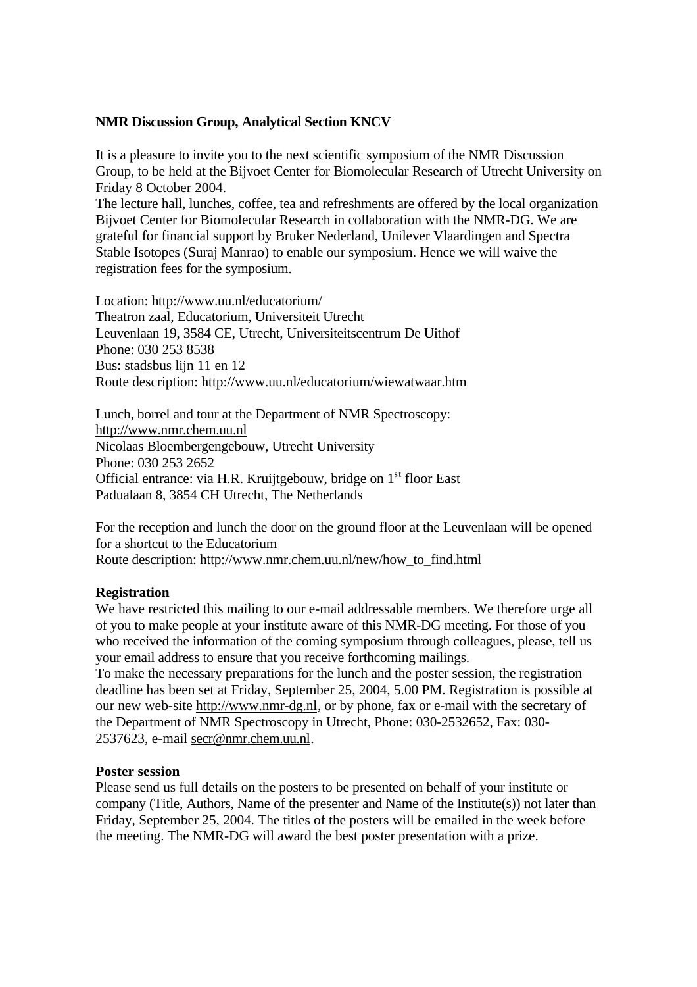# **NMR Discussion Group, Analytical Section KNCV**

It is a pleasure to invite you to the next scientific symposium of the NMR Discussion Group, to be held at the Bijvoet Center for Biomolecular Research of Utrecht University on Friday 8 October 2004.

The lecture hall, lunches, coffee, tea and refreshments are offered by the local organization Bijvoet Center for Biomolecular Research in collaboration with the NMR-DG. We are grateful for financial support by Bruker Nederland, Unilever Vlaardingen and Spectra Stable Isotopes (Suraj Manrao) to enable our symposium. Hence we will waive the registration fees for the symposium.

Location: http://www.uu.nl/educatorium/ Theatron zaal, Educatorium, Universiteit Utrecht Leuvenlaan 19, 3584 CE, Utrecht, Universiteitscentrum De Uithof Phone: 030 253 8538 Bus: stadsbus lijn 11 en 12 Route description: http://www.uu.nl/educatorium/wiewatwaar.htm

Lunch, borrel and tour at the Department of NMR Spectroscopy: http://www.nmr.chem.uu.nl Nicolaas Bloembergengebouw, Utrecht University Phone: 030 253 2652 Official entrance: via H.R. Kruijtgebouw, bridge on 1<sup>st</sup> floor East Padualaan 8, 3854 CH Utrecht, The Netherlands

For the reception and lunch the door on the ground floor at the Leuvenlaan will be opened for a shortcut to the Educatorium Route description: http://www.nmr.chem.uu.nl/new/how\_to\_find.html

### **Registration**

We have restricted this mailing to our e-mail addressable members. We therefore urge all of you to make people at your institute aware of this NMR-DG meeting. For those of you who received the information of the coming symposium through colleagues, please, tell us your email address to ensure that you receive forthcoming mailings.

To make the necessary preparations for the lunch and the poster session, the registration deadline has been set at Friday, September 25, 2004, 5.00 PM. Registration is possible at our new web-site http://www.nmr-dg.nl, or by phone, fax or e-mail with the secretary of the Department of NMR Spectroscopy in Utrecht, Phone: 030-2532652, Fax: 030- 2537623, e-mail secr@nmr.chem.uu.nl.

### **Poster session**

Please send us full details on the posters to be presented on behalf of your institute or company (Title, Authors, Name of the presenter and Name of the Institute(s)) not later than Friday, September 25, 2004. The titles of the posters will be emailed in the week before the meeting. The NMR-DG will award the best poster presentation with a prize.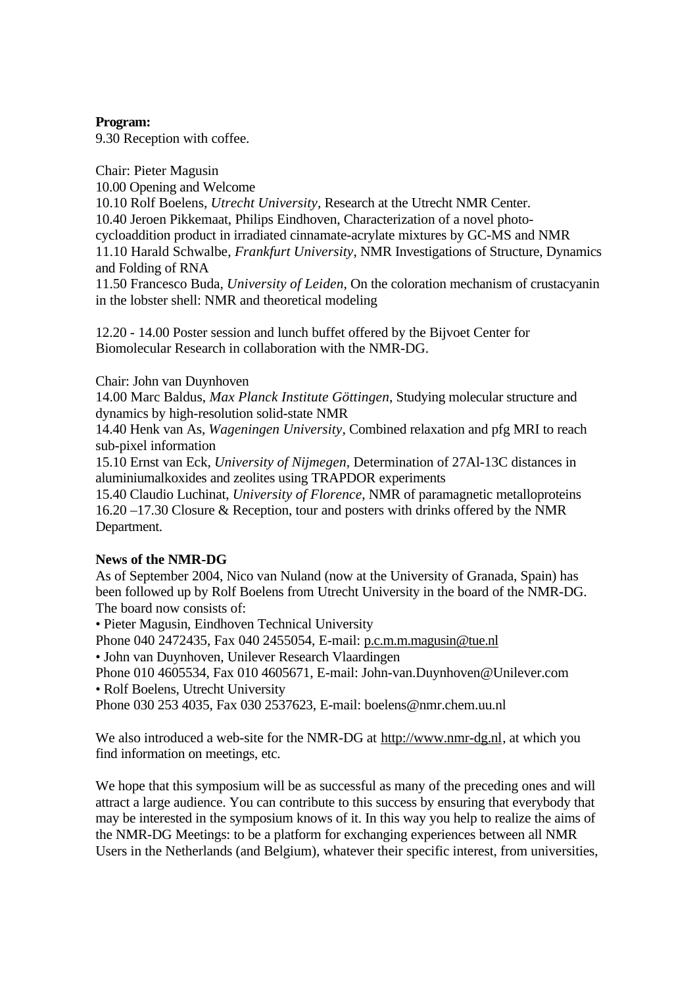# **Program:**

9.30 Reception with coffee.

Chair: Pieter Magusin 10.00 Opening and Welcome 10.10 Rolf Boelens, *Utrecht University*, Research at the Utrecht NMR Center. 10.40 Jeroen Pikkemaat, Philips Eindhoven, Characterization of a novel photocycloaddition product in irradiated cinnamate-acrylate mixtures by GC-MS and NMR 11.10 Harald Schwalbe, *Frankfurt University*, NMR Investigations of Structure, Dynamics and Folding of RNA

11.50 Francesco Buda, *University of Leiden*, On the coloration mechanism of crustacyanin in the lobster shell: NMR and theoretical modeling

12.20 - 14.00 Poster session and lunch buffet offered by the Bijvoet Center for Biomolecular Research in collaboration with the NMR-DG.

Chair: John van Duynhoven

14.00 Marc Baldus, *Max Planck Institute Göttingen*, Studying molecular structure and dynamics by high-resolution solid-state NMR

14.40 Henk van As, *Wageningen University*, Combined relaxation and pfg MRI to reach sub-pixel information

15.10 Ernst van Eck, *University of Nijmegen,* Determination of 27Al-13C distances in aluminiumalkoxides and zeolites using TRAPDOR experiments

15.40 Claudio Luchinat, *University of Florence*, NMR of paramagnetic metalloproteins 16.20 –17.30 Closure & Reception, tour and posters with drinks offered by the NMR Department.

### **News of the NMR-DG**

As of September 2004, Nico van Nuland (now at the University of Granada, Spain) has been followed up by Rolf Boelens from Utrecht University in the board of the NMR-DG. The board now consists of:

• Pieter Magusin, Eindhoven Technical University

Phone 040 2472435, Fax 040 2455054, E-mail: p.c.m.m.magusin@tue.nl

• John van Duynhoven, Unilever Research Vlaardingen

Phone 010 4605534, Fax 010 4605671, E-mail: John-van.Duynhoven@Unilever.com

• Rolf Boelens, Utrecht University

Phone 030 253 4035, Fax 030 2537623, E-mail: boelens@nmr.chem.uu.nl

We also introduced a web-site for the NMR-DG at http://www.nmr-dg.nl, at which you find information on meetings, etc.

We hope that this symposium will be as successful as many of the preceding ones and will attract a large audience. You can contribute to this success by ensuring that everybody that may be interested in the symposium knows of it. In this way you help to realize the aims of the NMR-DG Meetings: to be a platform for exchanging experiences between all NMR Users in the Netherlands (and Belgium), whatever their specific interest, from universities,